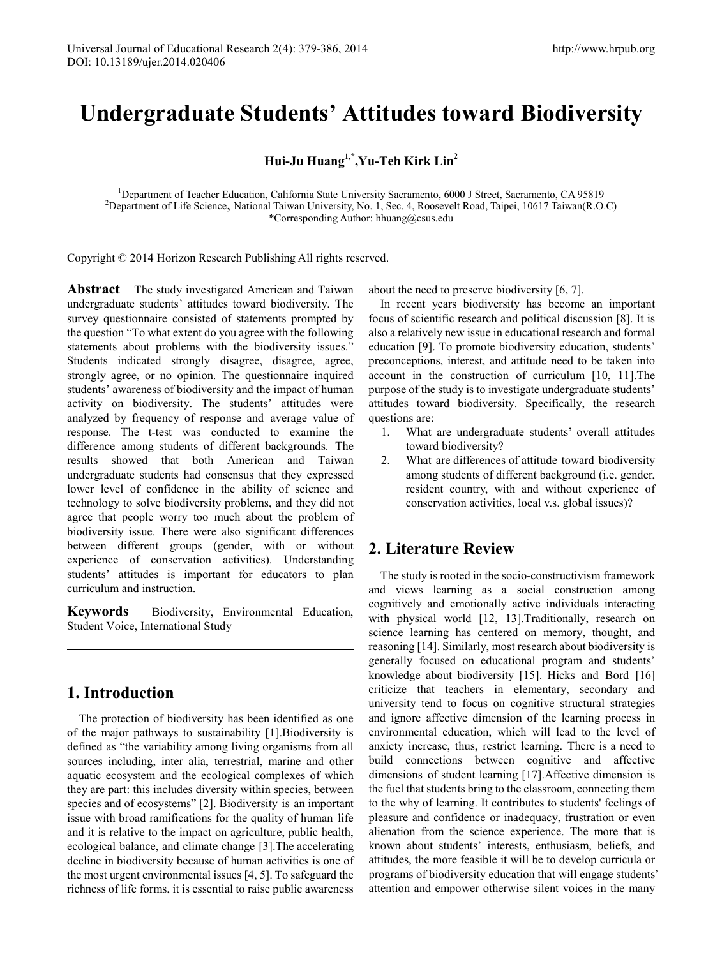# **Undergraduate Students' Attitudes toward Biodiversity**

**Hui-Ju Huang1,\*,Yu-Teh Kirk Lin2**

<sup>1</sup>Department of Teacher Education, California State University Sacramento, 6000 J Street, Sacramento, CA 95819<br><sup>2</sup>Department of Life Science, National Taiwan University No. 1, Sec. 4, Recognish Road, Taipai, 10617 Taiwan <sup>2</sup>Department of Life Science, National Taiwan University, No. 1, Sec. 4, Roosevelt Road, Taipei, 10617 Taiwan(R.O.C) \*Corresponding Author: hhuang@csus.edu

Copyright © 2014 Horizon Research Publishing All rights reserved.

**Abstract** The study investigated American and Taiwan undergraduate students' attitudes toward biodiversity. The survey questionnaire consisted of statements prompted by the question "To what extent do you agree with the following statements about problems with the biodiversity issues." Students indicated strongly disagree, disagree, agree, strongly agree, or no opinion. The questionnaire inquired students' awareness of biodiversity and the impact of human activity on biodiversity. The students' attitudes were analyzed by frequency of response and average value of response. The t-test was conducted to examine the difference among students of different backgrounds. The results showed that both American and Taiwan undergraduate students had consensus that they expressed lower level of confidence in the ability of science and technology to solve biodiversity problems, and they did not agree that people worry too much about the problem of biodiversity issue. There were also significant differences between different groups (gender, with or without experience of conservation activities). Understanding students' attitudes is important for educators to plan curriculum and instruction.

**Keywords** Biodiversity, Environmental Education, Student Voice, International Study

# **1. Introduction**

The protection of biodiversity has been identified as one of the major pathways to sustainability [1].Biodiversity is defined as "the variability among living organisms from all sources including, inter alia, terrestrial, marine and other aquatic ecosystem and the ecological complexes of which they are part: this includes diversity within species, between species and of ecosystems" [2]. Biodiversity is an important issue with broad ramifications for the quality of human life and it is relative to the impact on agriculture, public health, ecological balance, and climate change [3].The accelerating decline in biodiversity because of human activities is one of the most urgent environmental issues [4, 5]. To safeguard the richness of life forms, it is essential to raise public awareness about the need to preserve biodiversity [6, 7].

In recent years biodiversity has become an important focus of scientific research and political discussion [8]. It is also a relatively new issue in educational research and formal education [9]. To promote biodiversity education, students' preconceptions, interest, and attitude need to be taken into account in the construction of curriculum [10, 11].The purpose of the study is to investigate undergraduate students' attitudes toward biodiversity. Specifically, the research questions are:

- 1. What are undergraduate students' overall attitudes toward biodiversity?
- 2. What are differences of attitude toward biodiversity among students of different background (i.e. gender, resident country, with and without experience of conservation activities, local v.s. global issues)?

# **2. Literature Review**

The study is rooted in the socio-constructivism framework and views learning as a social construction among cognitively and emotionally active individuals interacting with physical world [12, 13]. Traditionally, research on science learning has centered on memory, thought, and reasoning [14]. Similarly, most research about biodiversity is generally focused on educational program and students' knowledge about biodiversity [15]. Hicks and Bord [16] criticize that teachers in elementary, secondary and university tend to focus on cognitive structural strategies and ignore affective dimension of the learning process in environmental education, which will lead to the level of anxiety increase, thus, restrict learning. There is a need to build connections between cognitive and affective dimensions of student learning [17].Affective dimension is the fuel that students bring to the classroom, connecting them to the why of learning. It contributes to students' feelings of pleasure and confidence or inadequacy, frustration or even alienation from the science experience. The more that is known about students' interests, enthusiasm, beliefs, and attitudes, the more feasible it will be to develop curricula or programs of biodiversity education that will engage students' attention and empower otherwise silent voices in the many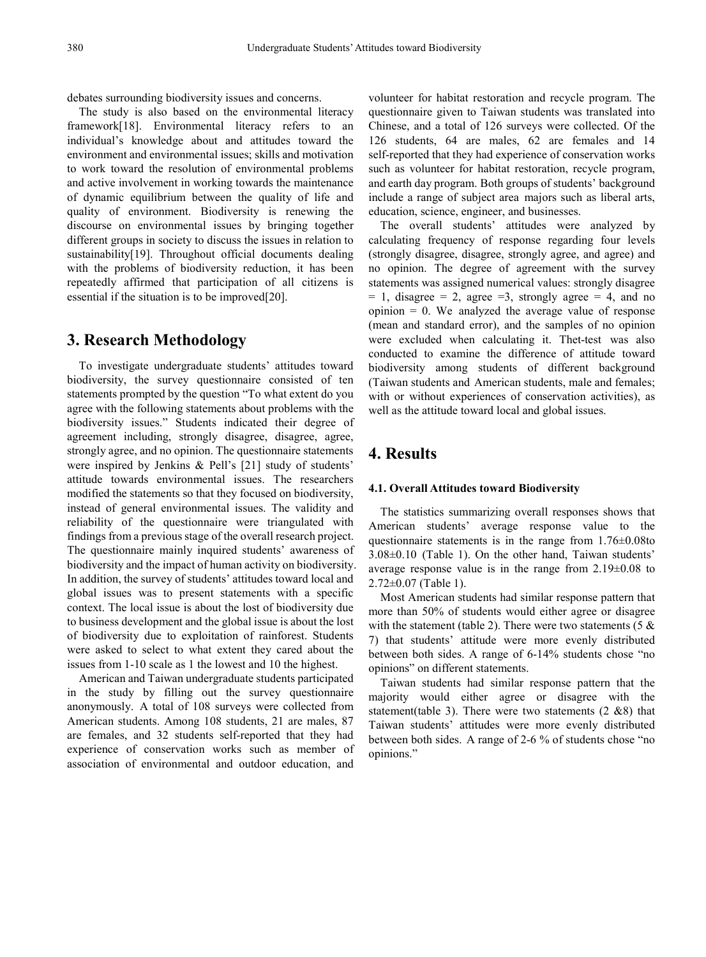debates surrounding biodiversity issues and concerns.

The study is also based on the environmental literacy framework[18]. Environmental literacy refers to an individual's knowledge about and attitudes toward the environment and environmental issues; skills and motivation to work toward the resolution of environmental problems and active involvement in working towards the maintenance of dynamic equilibrium between the quality of life and quality of environment. Biodiversity is renewing the discourse on environmental issues by bringing together different groups in society to discuss the issues in relation to sustainability[19]. Throughout official documents dealing with the problems of biodiversity reduction, it has been repeatedly affirmed that participation of all citizens is essential if the situation is to be improved[20].

### **3. Research Methodology**

To investigate undergraduate students' attitudes toward biodiversity, the survey questionnaire consisted of ten statements prompted by the question "To what extent do you agree with the following statements about problems with the biodiversity issues." Students indicated their degree of agreement including, strongly disagree, disagree, agree, strongly agree, and no opinion. The questionnaire statements were inspired by Jenkins & Pell's [21] study of students' attitude towards environmental issues. The researchers modified the statements so that they focused on biodiversity, instead of general environmental issues. The validity and reliability of the questionnaire were triangulated with findings from a previous stage of the overall research project. The questionnaire mainly inquired students' awareness of biodiversity and the impact of human activity on biodiversity. In addition, the survey of students' attitudes toward local and global issues was to present statements with a specific context. The local issue is about the lost of biodiversity due to business development and the global issue is about the lost of biodiversity due to exploitation of rainforest. Students were asked to select to what extent they cared about the issues from 1-10 scale as 1 the lowest and 10 the highest.

American and Taiwan undergraduate students participated in the study by filling out the survey questionnaire anonymously. A total of 108 surveys were collected from American students. Among 108 students, 21 are males, 87 are females, and 32 students self-reported that they had experience of conservation works such as member of association of environmental and outdoor education, and

volunteer for habitat restoration and recycle program. The questionnaire given to Taiwan students was translated into Chinese, and a total of 126 surveys were collected. Of the 126 students, 64 are males, 62 are females and 14 self-reported that they had experience of conservation works such as volunteer for habitat restoration, recycle program, and earth day program. Both groups of students' background include a range of subject area majors such as liberal arts, education, science, engineer, and businesses.

The overall students' attitudes were analyzed by calculating frequency of response regarding four levels (strongly disagree, disagree, strongly agree, and agree) and no opinion. The degree of agreement with the survey statements was assigned numerical values: strongly disagree  $= 1$ , disagree  $= 2$ , agree  $= 3$ , strongly agree  $= 4$ , and no  $opinion = 0$ . We analyzed the average value of response (mean and standard error), and the samples of no opinion were excluded when calculating it. Thet-test was also conducted to examine the difference of attitude toward biodiversity among students of different background (Taiwan students and American students, male and females; with or without experiences of conservation activities), as well as the attitude toward local and global issues.

# **4. Results**

#### **4.1. Overall Attitudes toward Biodiversity**

The statistics summarizing overall responses shows that American students' average response value to the questionnaire statements is in the range from 1.76±0.08to 3.08±0.10 (Table 1). On the other hand, Taiwan students' average response value is in the range from  $2.19 \pm 0.08$  to  $2.72\pm0.07$  (Table 1).

Most American students had similar response pattern that more than 50% of students would either agree or disagree with the statement (table 2). There were two statements  $(5 \&$ 7) that students' attitude were more evenly distributed between both sides. A range of 6-14% students chose "no opinions" on different statements.

Taiwan students had similar response pattern that the majority would either agree or disagree with the statement(table 3). There were two statements  $(2 \& 8)$  that Taiwan students' attitudes were more evenly distributed between both sides. A range of 2-6 % of students chose "no opinions."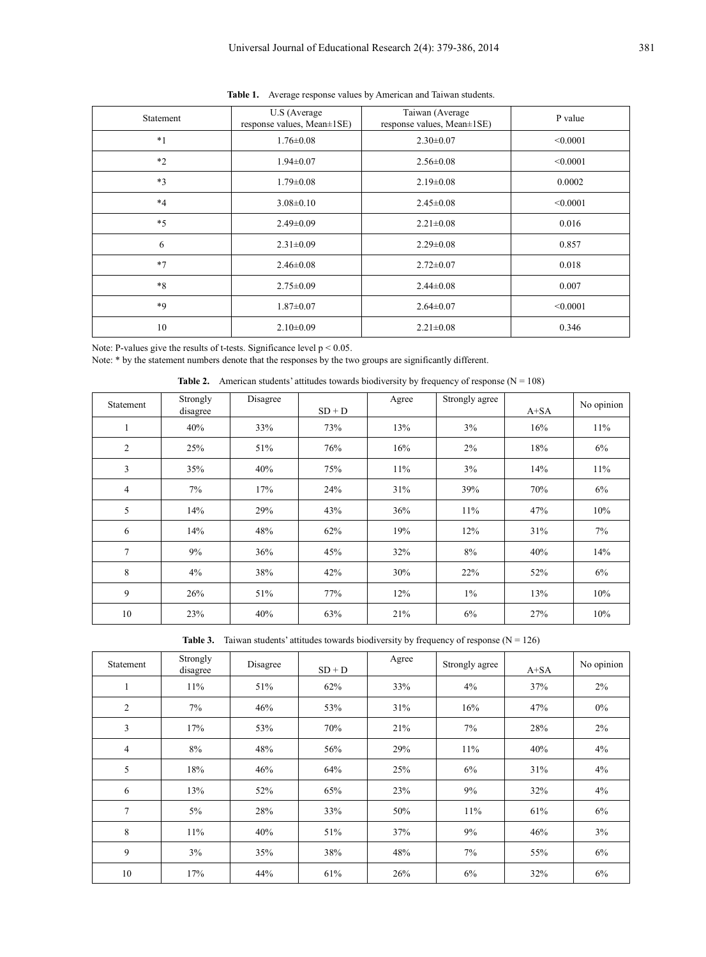| Statement | U.S (Average<br>response values, Mean±1SE) | Taiwan (Average<br>response values, Mean±1SE) | P value  |
|-----------|--------------------------------------------|-----------------------------------------------|----------|
| $*1$      | $1.76 \pm 0.08$                            | $2.30 \pm 0.07$                               | < 0.0001 |
| $*2$      | $1.94 \pm 0.07$                            | $2.56 \pm 0.08$                               | < 0.0001 |
| $*3$      | $1.79 \pm 0.08$                            | $2.19 \pm 0.08$                               | 0.0002   |
| $*4$      | $3.08 \pm 0.10$                            | $2.45 \pm 0.08$                               | < 0.0001 |
| $*5$      | $2.49 \pm 0.09$                            | $2.21 \pm 0.08$                               | 0.016    |
| 6         | $2.31 \pm 0.09$                            | $2.29 \pm 0.08$                               | 0.857    |
| $*7$      | $2.46 \pm 0.08$                            | $2.72 \pm 0.07$                               | 0.018    |
| $*8$      | $2.75 \pm 0.09$                            | $2.44 \pm 0.08$                               | 0.007    |
| *9        | $1.87 \pm 0.07$                            | $2.64 \pm 0.07$                               | < 0.0001 |
| 10        | $2.10\pm0.09$                              | $2.21 \pm 0.08$                               | 0.346    |

**Table 1.** Average response values by American and Taiwan students.

Note: P-values give the results of t-tests. Significance level  $p < 0.05$ .

Note: \* by the statement numbers denote that the responses by the two groups are significantly different.

**Table 2.** American students' attitudes towards biodiversity by frequency of response  $(N = 108)$ 

| Statement      | Strongly<br>disagree | Disagree | $SD + D$ | Agree | Strongly agree | $A+SA$ | No opinion |
|----------------|----------------------|----------|----------|-------|----------------|--------|------------|
|                | 40%                  | 33%      | 73%      | 13%   | $3\%$          | 16%    | $11\%$     |
| $\overline{2}$ | 25%                  | 51%      | 76%      | 16%   | 2%             | 18%    | 6%         |
| 3              | 35%                  | 40%      | 75%      | 11%   | 3%             | 14%    | 11%        |
| 4              | 7%                   | 17%      | 24%      | 31%   | 39%            | 70%    | 6%         |
| 5              | 14%                  | 29%      | 43%      | 36%   | 11%            | 47%    | 10%        |
| 6              | 14%                  | 48%      | 62%      | 19%   | 12%            | 31%    | 7%         |
| 7              | 9%                   | 36%      | 45%      | 32%   | 8%             | 40%    | 14%        |
| 8              | $4\%$                | 38%      | 42%      | 30%   | 22%            | 52%    | 6%         |
| 9              | 26%                  | 51%      | 77%      | 12%   | $1\%$          | 13%    | 10%        |
| 10             | 23%                  | 40%      | 63%      | 21%   | 6%             | 27%    | 10%        |

|  |  |  |  |  | <b>Table 3.</b> Taiwan students' attitudes towards biodiversity by frequency of response $(N = 126)$ |  |
|--|--|--|--|--|------------------------------------------------------------------------------------------------------|--|
|--|--|--|--|--|------------------------------------------------------------------------------------------------------|--|

| Statement      | Strongly<br>disagree | Disagree | $SD + D$ | Agree | Strongly agree | $A+SA$ | No opinion |
|----------------|----------------------|----------|----------|-------|----------------|--------|------------|
| 1              | 11%                  | 51%      | 62%      | 33%   | 4%             | 37%    | $2\%$      |
| $\overline{c}$ | 7%                   | 46%      | 53%      | 31%   | 16%            | 47%    | $0\%$      |
| 3              | 17%                  | 53%      | 70%      | 21%   | 7%             | 28%    | $2\%$      |
| $\overline{4}$ | 8%                   | 48%      | 56%      | 29%   | 11%            | 40%    | 4%         |
| 5              | 18%                  | 46%      | 64%      | 25%   | 6%             | 31%    | 4%         |
| 6              | 13%                  | 52%      | 65%      | 23%   | 9%             | 32%    | 4%         |
| 7              | 5%                   | 28%      | 33%      | 50%   | 11%            | 61%    | 6%         |
| 8              | 11%                  | 40%      | 51%      | 37%   | 9%             | 46%    | 3%         |
| 9              | 3%                   | 35%      | 38%      | 48%   | 7%             | 55%    | 6%         |
| 10             | 17%                  | 44%      | 61%      | 26%   | 6%             | 32%    | 6%         |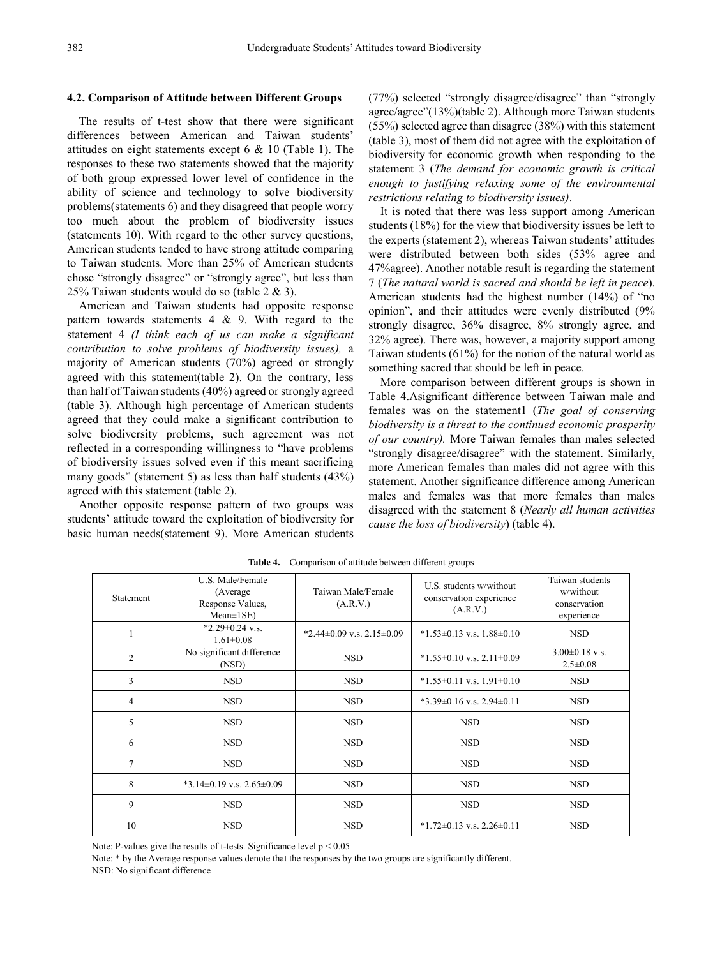#### **4.2. Comparison of Attitude between Different Groups**

The results of t-test show that there were significant differences between American and Taiwan students' attitudes on eight statements except 6 & 10 (Table 1). The responses to these two statements showed that the majority of both group expressed lower level of confidence in the ability of science and technology to solve biodiversity problems(statements 6) and they disagreed that people worry too much about the problem of biodiversity issues (statements 10). With regard to the other survey questions, American students tended to have strong attitude comparing to Taiwan students. More than 25% of American students chose "strongly disagree" or "strongly agree", but less than 25% Taiwan students would do so (table 2 & 3).

American and Taiwan students had opposite response pattern towards statements  $4 \& 9$ . With regard to the statement 4 *(I think each of us can make a significant contribution to solve problems of biodiversity issues),* a majority of American students (70%) agreed or strongly agreed with this statement(table 2). On the contrary, less than half of Taiwan students (40%) agreed or strongly agreed (table 3). Although high percentage of American students agreed that they could make a significant contribution to solve biodiversity problems, such agreement was not reflected in a corresponding willingness to "have problems of biodiversity issues solved even if this meant sacrificing many goods" (statement 5) as less than half students (43%) agreed with this statement (table 2).

Another opposite response pattern of two groups was students' attitude toward the exploitation of biodiversity for basic human needs(statement 9). More American students

(77%) selected "strongly disagree/disagree" than "strongly agree/agree"(13%)(table 2). Although more Taiwan students (55%) selected agree than disagree (38%) with this statement (table 3), most of them did not agree with the exploitation of biodiversity for economic growth when responding to the statement 3 (*The demand for economic growth is critical enough to justifying relaxing some of the environmental restrictions relating to biodiversity issues)*.

It is noted that there was less support among American students (18%) for the view that biodiversity issues be left to the experts (statement 2), whereas Taiwan students' attitudes were distributed between both sides (53% agree and 47%agree). Another notable result is regarding the statement 7 (*The natural world is sacred and should be left in peace*). American students had the highest number (14%) of "no opinion", and their attitudes were evenly distributed (9% strongly disagree, 36% disagree, 8% strongly agree, and 32% agree). There was, however, a majority support among Taiwan students (61%) for the notion of the natural world as something sacred that should be left in peace.

More comparison between different groups is shown in Table 4.Asignificant difference between Taiwan male and females was on the statement1 (*The goal of conserving biodiversity is a threat to the continued economic prosperity of our country).* More Taiwan females than males selected "strongly disagree/disagree" with the statement. Similarly, more American females than males did not agree with this statement. Another significance difference among American males and females was that more females than males disagreed with the statement 8 (*Nearly all human activities cause the loss of biodiversity*) (table 4).

| <b>Statement</b> | U.S. Male/Female<br>(Average)<br>Response Values,<br>$Mean \pm 1SE$ ) | Taiwan Male/Female<br>(A.R.V.) | U.S. students w/without<br>conservation experience<br>(A.R.V.) | Taiwan students<br>w/without<br>conservation<br>experience |
|------------------|-----------------------------------------------------------------------|--------------------------------|----------------------------------------------------------------|------------------------------------------------------------|
|                  | *2.29 $\pm$ 0.24 v.s.<br>$1.61 \pm 0.08$                              | *2.44±0.09 v.s. $2.15\pm0.09$  | $*1.53\pm0.13$ v.s. $1.88\pm0.10$                              | <b>NSD</b>                                                 |
| 2                | No significant difference<br>(NSD)                                    | <b>NSD</b>                     | $*1.55\pm0.10$ v.s. $2.11\pm0.09$                              | $3.00\pm0.18$ v.s.<br>$2.5 \pm 0.08$                       |
| 3                | <b>NSD</b>                                                            | <b>NSD</b>                     | $*1.55\pm0.11$ v.s. $1.91\pm0.10$                              | <b>NSD</b>                                                 |
| 4                | <b>NSD</b>                                                            | <b>NSD</b>                     | $*3.39\pm0.16$ v.s. $2.94\pm0.11$                              | <b>NSD</b>                                                 |
| 5                | <b>NSD</b>                                                            | <b>NSD</b>                     | <b>NSD</b>                                                     | <b>NSD</b>                                                 |
| 6                | <b>NSD</b>                                                            | <b>NSD</b>                     | <b>NSD</b>                                                     | <b>NSD</b>                                                 |
| 7                | <b>NSD</b>                                                            | <b>NSD</b>                     | <b>NSD</b>                                                     | <b>NSD</b>                                                 |
| 8                | $*3.14\pm0.19$ v.s. $2.65\pm0.09$                                     | <b>NSD</b>                     | <b>NSD</b>                                                     | <b>NSD</b>                                                 |
| 9                | <b>NSD</b>                                                            | <b>NSD</b>                     | <b>NSD</b>                                                     | <b>NSD</b>                                                 |
| 10               | <b>NSD</b>                                                            | <b>NSD</b>                     | $*1.72\pm0.13$ v.s. $2.26\pm0.11$                              | <b>NSD</b>                                                 |

**Table 4.** Comparison of attitude between different groups

Note: P-values give the results of t-tests. Significance level  $p < 0.05$ 

Note: \* by the Average response values denote that the responses by the two groups are significantly different.

NSD: No significant difference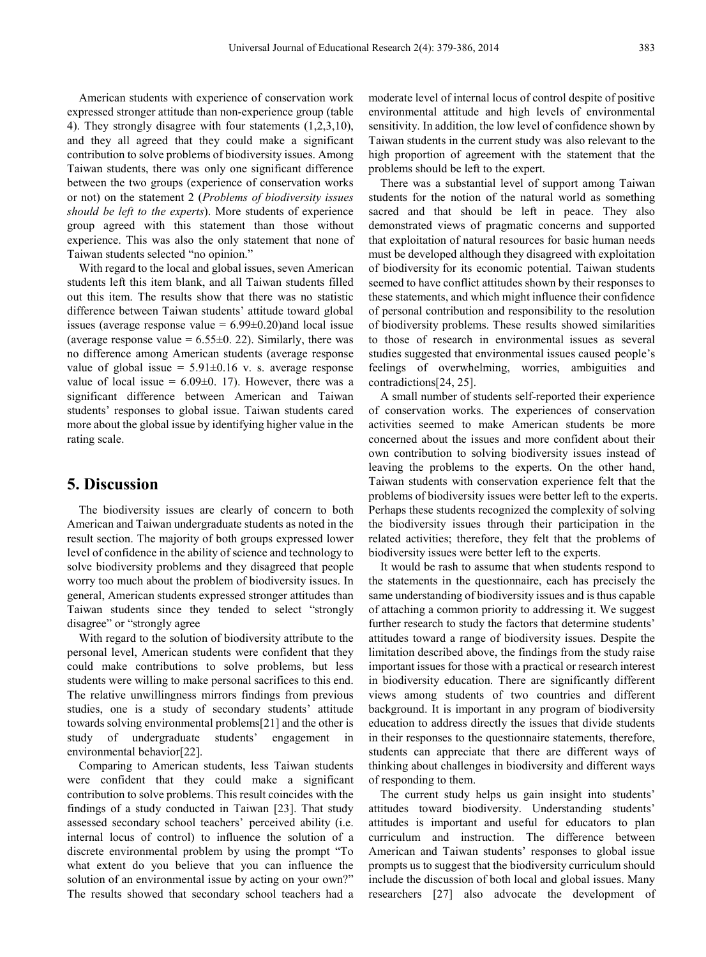American students with experience of conservation work expressed stronger attitude than non-experience group (table 4). They strongly disagree with four statements (1,2,3,10), and they all agreed that they could make a significant contribution to solve problems of biodiversity issues. Among Taiwan students, there was only one significant difference between the two groups (experience of conservation works or not) on the statement 2 (*Problems of biodiversity issues should be left to the experts*). More students of experience group agreed with this statement than those without experience. This was also the only statement that none of Taiwan students selected "no opinion."

With regard to the local and global issues, seven American students left this item blank, and all Taiwan students filled out this item. The results show that there was no statistic difference between Taiwan students' attitude toward global issues (average response value  $= 6.99 \pm 0.20$ ) and local issue (average response value  $= 6.55 \pm 0.22$ ). Similarly, there was no difference among American students (average response value of global issue =  $5.91\pm0.16$  v. s. average response value of local issue =  $6.09\pm0.17$ ). However, there was a significant difference between American and Taiwan students' responses to global issue. Taiwan students cared more about the global issue by identifying higher value in the rating scale.

### **5. Discussion**

The biodiversity issues are clearly of concern to both American and Taiwan undergraduate students as noted in the result section. The majority of both groups expressed lower level of confidence in the ability of science and technology to solve biodiversity problems and they disagreed that people worry too much about the problem of biodiversity issues. In general, American students expressed stronger attitudes than Taiwan students since they tended to select "strongly disagree" or "strongly agree

With regard to the solution of biodiversity attribute to the personal level, American students were confident that they could make contributions to solve problems, but less students were willing to make personal sacrifices to this end. The relative unwillingness mirrors findings from previous studies, one is a study of secondary students' attitude towards solving environmental problems[21] and the other is study of undergraduate students' engagement in environmental behavior[22].

Comparing to American students, less Taiwan students were confident that they could make a significant contribution to solve problems. This result coincides with the findings of a study conducted in Taiwan [23]. That study assessed secondary school teachers' perceived ability (i.e. internal locus of control) to influence the solution of a discrete environmental problem by using the prompt "To what extent do you believe that you can influence the solution of an environmental issue by acting on your own?" The results showed that secondary school teachers had a

moderate level of internal locus of control despite of positive environmental attitude and high levels of environmental sensitivity. In addition, the low level of confidence shown by Taiwan students in the current study was also relevant to the high proportion of agreement with the statement that the problems should be left to the expert.

There was a substantial level of support among Taiwan students for the notion of the natural world as something sacred and that should be left in peace. They also demonstrated views of pragmatic concerns and supported that exploitation of natural resources for basic human needs must be developed although they disagreed with exploitation of biodiversity for its economic potential. Taiwan students seemed to have conflict attitudes shown by their responses to these statements, and which might influence their confidence of personal contribution and responsibility to the resolution of biodiversity problems. These results showed similarities to those of research in environmental issues as several studies suggested that environmental issues caused people's feelings of overwhelming, worries, ambiguities and contradictions[24, 25].

A small number of students self-reported their experience of conservation works. The experiences of conservation activities seemed to make American students be more concerned about the issues and more confident about their own contribution to solving biodiversity issues instead of leaving the problems to the experts. On the other hand, Taiwan students with conservation experience felt that the problems of biodiversity issues were better left to the experts. Perhaps these students recognized the complexity of solving the biodiversity issues through their participation in the related activities; therefore, they felt that the problems of biodiversity issues were better left to the experts.

It would be rash to assume that when students respond to the statements in the questionnaire, each has precisely the same understanding of biodiversity issues and is thus capable of attaching a common priority to addressing it. We suggest further research to study the factors that determine students' attitudes toward a range of biodiversity issues. Despite the limitation described above, the findings from the study raise important issues for those with a practical or research interest in biodiversity education. There are significantly different views among students of two countries and different background. It is important in any program of biodiversity education to address directly the issues that divide students in their responses to the questionnaire statements, therefore, students can appreciate that there are different ways of thinking about challenges in biodiversity and different ways of responding to them.

The current study helps us gain insight into students' attitudes toward biodiversity. Understanding students' attitudes is important and useful for educators to plan curriculum and instruction. The difference between American and Taiwan students' responses to global issue prompts us to suggest that the biodiversity curriculum should include the discussion of both local and global issues. Many researchers [27] also advocate the development of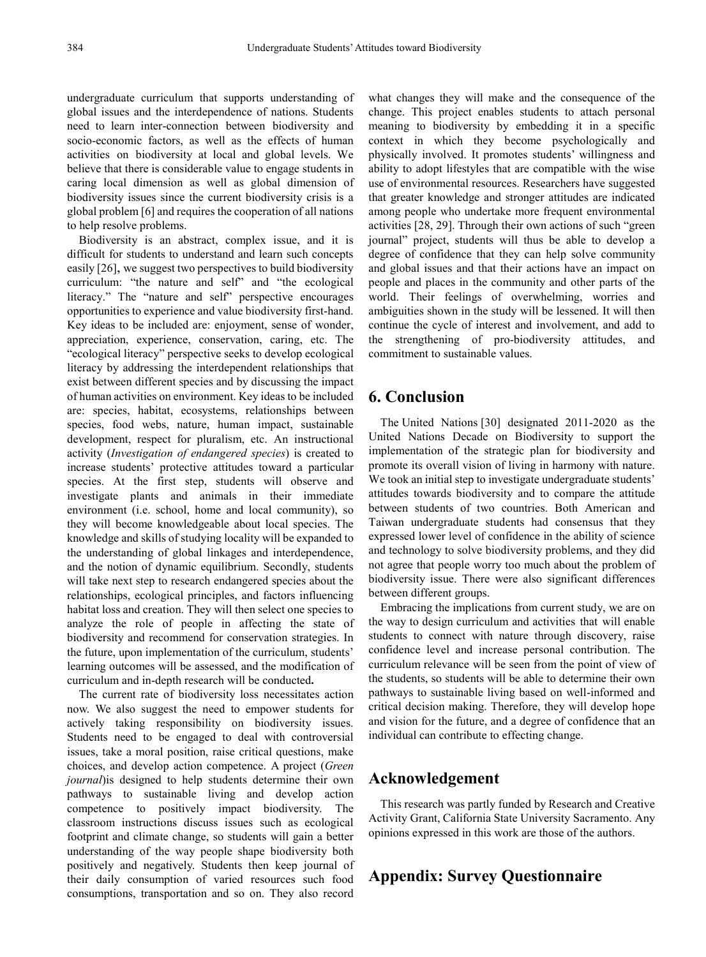undergraduate curriculum that supports understanding of global issues and the interdependence of nations. Students need to learn inter-connection between biodiversity and socio-economic factors, as well as the effects of human activities on biodiversity at local and global levels. We believe that there is considerable value to engage students in caring local dimension as well as global dimension of biodiversity issues since the current biodiversity crisis is a global problem [6] and requires the cooperation of all nations to help resolve problems.

Biodiversity is an abstract, complex issue, and it is difficult for students to understand and learn such concepts easily [26], we suggest two perspectives to build biodiversity curriculum: "the nature and self" and "the ecological literacy." The "nature and self" perspective encourages opportunities to experience and value biodiversity first-hand. Key ideas to be included are: enjoyment, sense of wonder, appreciation, experience, conservation, caring, etc. The "ecological literacy" perspective seeks to develop ecological literacy by addressing the interdependent relationships that exist between different species and by discussing the impact of human activities on environment. Key ideas to be included are: species, habitat, ecosystems, relationships between species, food webs, nature, human impact, sustainable development, respect for pluralism, etc. An instructional activity (*Investigation of endangered species*) is created to increase students' protective attitudes toward a particular species. At the first step, students will observe and investigate plants and animals in their immediate environment (i.e. school, home and local community), so they will become knowledgeable about local species. The knowledge and skills of studying locality will be expanded to the understanding of global linkages and interdependence, and the notion of dynamic equilibrium. Secondly, students will take next step to research endangered species about the relationships, ecological principles, and factors influencing habitat loss and creation. They will then select one species to analyze the role of people in affecting the state of biodiversity and recommend for conservation strategies. In the future, upon implementation of the curriculum, students' learning outcomes will be assessed, and the modification of curriculum and in-depth research will be conducted**.**

The current rate of biodiversity loss necessitates action now. We also suggest the need to empower students for actively taking responsibility on biodiversity issues. Students need to be engaged to deal with controversial issues, take a moral position, raise critical questions, make choices, and develop action competence. A project (*Green journal*)is designed to help students determine their own pathways to sustainable living and develop action competence to positively impact biodiversity. The classroom instructions discuss issues such as ecological footprint and climate change, so students will gain a better understanding of the way people shape biodiversity both positively and negatively. Students then keep journal of their daily consumption of varied resources such food consumptions, transportation and so on. They also record

what changes they will make and the consequence of the change. This project enables students to attach personal meaning to biodiversity by embedding it in a specific context in which they become psychologically and physically involved. It promotes students' willingness and ability to adopt lifestyles that are compatible with the wise use of environmental resources. Researchers have suggested that greater knowledge and stronger attitudes are indicated among people who undertake more frequent environmental activities [28, 29]. Through their own actions of such "green journal" project, students will thus be able to develop a degree of confidence that they can help solve community and global issues and that their actions have an impact on people and places in the community and other parts of the world. Their feelings of overwhelming, worries and ambiguities shown in the study will be lessened. It will then continue the cycle of interest and involvement, and add to the strengthening of pro-biodiversity attitudes, and commitment to sustainable values.

# **6. Conclusion**

The United Nations [30] designated 2011-2020 as the United Nations Decade on Biodiversity to support the implementation of the strategic plan for biodiversity and promote its overall vision of living in harmony with nature. We took an initial step to investigate undergraduate students' attitudes towards biodiversity and to compare the attitude between students of two countries. Both American and Taiwan undergraduate students had consensus that they expressed lower level of confidence in the ability of science and technology to solve biodiversity problems, and they did not agree that people worry too much about the problem of biodiversity issue. There were also significant differences between different groups.

Embracing the implications from current study, we are on the way to design curriculum and activities that will enable students to connect with nature through discovery, raise confidence level and increase personal contribution. The curriculum relevance will be seen from the point of view of the students, so students will be able to determine their own pathways to sustainable living based on well-informed and critical decision making. Therefore, they will develop hope and vision for the future, and a degree of confidence that an individual can contribute to effecting change.

### **Acknowledgement**

This research was partly funded by Research and Creative Activity Grant, California State University Sacramento. Any opinions expressed in this work are those of the authors.

# **Appendix: Survey Questionnaire**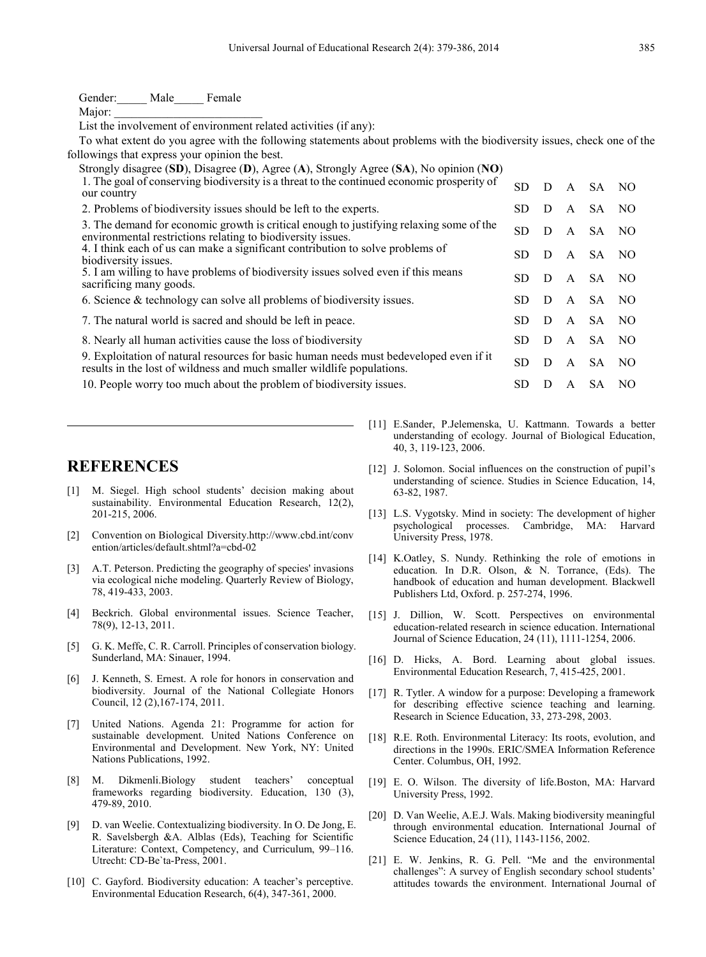| Gender: Male<br>Female                                                                                                                                                                             |           |   |              |           |      |
|----------------------------------------------------------------------------------------------------------------------------------------------------------------------------------------------------|-----------|---|--------------|-----------|------|
| Major:                                                                                                                                                                                             |           |   |              |           |      |
| List the involvement of environment related activities (if any):                                                                                                                                   |           |   |              |           |      |
| To what extent do you agree with the following statements about problems with the biodiversity issues, check one of the                                                                            |           |   |              |           |      |
| followings that express your opinion the best.                                                                                                                                                     |           |   |              |           |      |
| Strongly disagree (SD), Disagree (D), Agree (A), Strongly Agree (SA), No opinion (NO)<br>1. The goal of conserving biodiversity is a threat to the continued economic prosperity of<br>our country | SD.       | D | A            | SA.       | - NO |
| 2. Problems of biodiversity issues should be left to the experts.                                                                                                                                  | SD.       | D | A            | SA.       | - NO |
| 3. The demand for economic growth is critical enough to justifying relaxing some of the<br>environmental restrictions relating to biodiversity issues.                                             | <b>SD</b> | D | A            | SA.       | NO.  |
| 4. I think each of us can make a significant contribution to solve problems of<br>biodiversity issues.                                                                                             | SD.       | D | A            | SA.       | NO.  |
| 5. I am willing to have problems of biodiversity issues solved even if this means<br>sacrificing many goods.                                                                                       | <b>SD</b> | D | A            | SA.       | NO.  |
| 6. Science $&$ technology can solve all problems of biodiversity issues.                                                                                                                           | <b>SD</b> | D | $\mathsf{A}$ | SA.       | NO   |
| 7. The natural world is sacred and should be left in peace.                                                                                                                                        | SD.       | D | A            | SA.       | NO   |
| 8. Nearly all human activities cause the loss of biodiversity                                                                                                                                      | <b>SD</b> | D | $\mathsf{A}$ | SA.       | NO   |
| 9. Exploitation of natural resources for basic human needs must bedeveloped even if it<br>results in the lost of wildness and much smaller wildlife populations.                                   | <b>SD</b> | D | A            | <b>SA</b> | NO.  |
| 10. People worry too much about the problem of biodiversity issues.                                                                                                                                | SD.       | D | A            | SA.       | NO.  |

# **REFERENCES**

- [1] M. Siegel. High school students' decision making about sustainability. Environmental Education Research, 12(2), 201-215, 2006.
- [2] Convention on Biological Diversity.http://www.cbd.int/conv ention/articles/default.shtml?a=cbd-02
- [3] A.T. Peterson. Predicting the geography of species' invasions via ecological niche modeling. Quarterly Review of Biology, 78, 419-433, 2003.
- [4] Beckrich. Global environmental issues. Science Teacher, 78(9), 12-13, 2011.
- [5] G. K. Meffe, C. R. Carroll. Principles of conservation biology. Sunderland, MA: Sinauer, 1994.
- [6] J. Kenneth, S. Ernest. A role for honors in conservation and biodiversity. Journal of the National Collegiate Honors Council, 12 (2),167-174, 2011.
- [7] United Nations. Agenda 21: Programme for action for sustainable development. United Nations Conference on Environmental and Development. New York, NY: United Nations Publications, 1992.
- [8] M. Dikmenli.Biology student teachers' conceptual frameworks regarding biodiversity. Education, 130 (3), 479-89, 2010.
- [9] D. van Weelie. Contextualizing biodiversity. In O. De Jong, E. R. Savelsbergh &A. Alblas (Eds), Teaching for Scientific Literature: Context, Competency, and Curriculum, 99–116. Utrecht: CD-Be`ta-Press, 2001.
- [10] C. Gayford. Biodiversity education: A teacher's perceptive. Environmental Education Research, 6(4), 347-361, 2000.
- [11] E.Sander, P.Jelemenska, U. Kattmann. Towards a better understanding of ecology. Journal of Biological Education, 40, 3, 119-123, 2006.
- [12] J. Solomon. Social influences on the construction of pupil's understanding of science. Studies in Science Education, 14, 63-82, 1987.
- [13] L.S. Vygotsky. Mind in society: The development of higher psychological processes. Cambridge, MA: Harvard University Press, 1978.
- [14] K.Oatley, S. Nundy. Rethinking the role of emotions in education. In D.R. Olson, & N. Torrance, (Eds). The handbook of education and human development. Blackwell Publishers Ltd, Oxford. p. 257-274, 1996.
- [15] J. Dillion, W. Scott. Perspectives on environmental education-related research in science education. International Journal of Science Education, 24 (11), 1111-1254, 2006.
- [16] D. Hicks, A. Bord. Learning about global issues. Environmental Education Research, 7, 415-425, 2001.
- [17] R. Tytler. A window for a purpose: Developing a framework for describing effective science teaching and learning. Research in Science Education, 33, 273-298, 2003.
- [18] R.E. Roth. Environmental Literacy: Its roots, evolution, and directions in the 1990s. ERIC/SMEA Information Reference Center. Columbus, OH, 1992.
- [19] E. O. Wilson. The diversity of life.Boston, MA: Harvard University Press, 1992.
- [20] D. Van Weelie, A.E.J. Wals. Making biodiversity meaningful through environmental education. International Journal of Science Education, 24 (11), 1143-1156, 2002.
- [21] E. W. Jenkins, R. G. Pell. "Me and the environmental challenges": A survey of English secondary school students' attitudes towards the environment. International Journal of